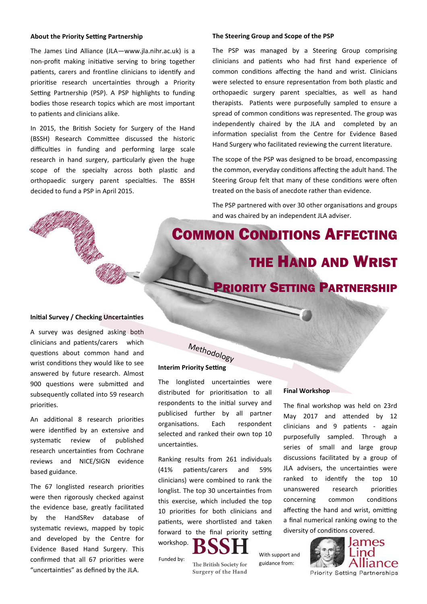## **About the Priority Setting Partnership**

The James Lind Alliance (JLA—www.jla.nihr.ac.uk) is a non-profit making initiative serving to bring together patients, carers and frontline clinicians to identify and prioritise research uncertainties through a Priority Setting Partnership (PSP). A PSP highlights to funding bodies those research topics which are most important to patients and clinicians alike.

In 2015, the British Society for Surgery of the Hand (BSSH) Research Committee discussed the historic difficulties in funding and performing large scale research in hand surgery, particularly given the huge scope of the specialty across both plastic and orthopaedic surgery parent specialties. The BSSH decided to fund a PSP in April 2015.

### **The Steering Group and Scope of the PSP**

The PSP was managed by a Steering Group comprising clinicians and patients who had first hand experience of common conditions affecting the hand and wrist. Clinicians were selected to ensure representation from both plastic and orthopaedic surgery parent specialties, as well as hand therapists. Patients were purposefully sampled to ensure a spread of common conditions was represented. The group was independently chaired by the JLA and completed by an information specialist from the Centre for Evidence Based Hand Surgery who facilitated reviewing the current literature.

The scope of the PSP was designed to be broad, encompassing the common, everyday conditions affecting the adult hand. The Steering Group felt that many of these conditions were often treated on the basis of anecdote rather than evidence.

The PSP partnered with over 30 other organisations and groups and was chaired by an independent JLA adviser.

COMMON CONDITIONS AFFECTING THE HAND AND WRIST

# PRIORITY SETTING PARTNERSHIP

## **Initial Survey / Checking Uncertainties**

A survey was designed asking both clinicians and patients/carers which questions about common hand and wrist conditions they would like to see answered by future research. Almost 900 questions were submitted and subsequently collated into 59 research priorities.

An additional 8 research priorities were identified by an extensive and systematic review of published research uncertainties from Cochrane reviews and NICE/SIGN evidence based guidance.

The 67 longlisted research priorities were then rigorously checked against the evidence base, greatly facilitated by the HandSRev database of systematic reviews, mapped by topic and developed by the Centre for Evidence Based Hand Surgery. This confirmed that all 67 priorities were "uncertainties" as defined by the JLA.

# **Interim Priority Setting** Methodology

The longlisted uncertainties were distributed for prioritisation to all respondents to the initial survey and publicised further by all partner organisations. Each respondent selected and ranked their own top 10 uncertainties.

Ranking results from 261 individuals (41% patients/carers and 59% clinicians) were combined to rank the longlist. The top 30 uncertainties from this exercise, which included the top 10 priorities for both clinicians and patients, were shortlisted and taken forward to the final priority setting workshop.



The British Society for Surgery of the Hand

#### **Final Workshop**

The final workshop was held on 23rd May 2017 and attended by 12 clinicians and 9 patients - again purposefully sampled. Through a series of small and large group discussions facilitated by a group of JLA advisers, the uncertainties were ranked to identify the top 10 unanswered research priorities concerning common conditions affecting the hand and wrist, omitting a final numerical ranking owing to the diversity of conditions covered.

With support and guidance from: